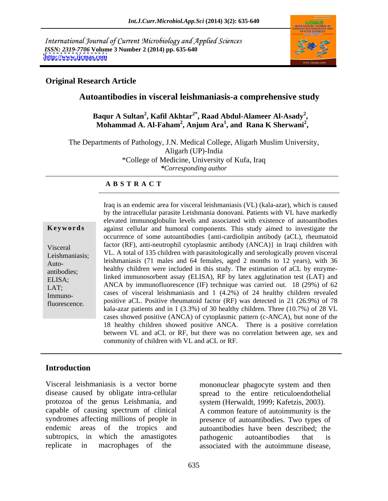International Journal of Current Microbiology and Applied Sciences *ISSN: 2319-7706* **Volume 3 Number 2 (2014) pp. 635-640 <http://www.ijcmas.com>**



### **Original Research Article**

## **Autoantibodies in visceral leishmaniasis-a comprehensive study**

 **Baqur A Sultan<sup>2</sup> , Kafil Akhtar2\* , Raad Abdul-Alameer Al-Asady<sup>2</sup> , Mohammad A. Al-Faham<sup>2</sup> , Anjum Ara<sup>1</sup> , and Rana K Sherwani<sup>2</sup> ,**

The Departments of Pathology, J.N. Medical College, Aligarh Muslim University, Aligarh (UP)-India \*College of Medicine, University of Kufa, Iraq

*\*Corresponding author* 

### **A B S T R A C T**

Immuno-

**Keywords** against cellular and humoral components. This study aimed to investigate the Visceral factor (RF), anti-neutrophil cytoplasmic antibody (ANCA) in Iraqi children with Leishmaniasis; VL. A total of 135 children with parasitologically and serologically proven visceral<br>Leishmaniasis; VL. A total of 135 children with parasitologically and serologically proven visceral Auto-<br>Auto-<br> $\frac{1}{2}$  leishmaniasis (71 males and 64 females, aged 2 months to 12 years), with 36 antibodies; healthy children were included in this study. The estimation of act by enzyme-ELISA; linked immunosorbent assay (ELISA), RF by latex agglutination test (LAT) and  $LAT$ ; ANCA by immunofluorescence (IF) technique was carried out. 18 (29%) of 62 fluorescence. positive aCL. Positive rheumatoid factor  $(RF)$  was detected in 21 (26.9%) of 78 Iraq is an endemic area for visceral leishmaniasis (VL) (kala-azar), which is caused by the intracellular parasite Leishmania donovani. Patients with VL have markedly elevated immunoglobulin levels and associated with existence of autoantibodies occurrence of some autoantibodies {anti-cardiolipin antibody (aCL), rheumatoid healthy children were included in this study. The estimation of aCL by enzymecases of visceral leishmaniasis and 1 (4.2%) of 24 healthy children revealed kala-azar patients and in 1 (3.3%) of 30 healthy children. Three (10.7%) of 28 VL cases showed positive (ANCA) of cytoplasmic pattern (c-ANCA), but none of the 18 healthy children showed positive ANCA. There is a positive correlation between VL and aCL or RF, but there was no correlation between age, sex and community of children with VL and aCL or RF.

## **Introduction**

protozoa of the genus Leishmania, and system (Herwaldt, 1999; Kafetzis, 2003). capable of causing spectrum of clinical subtropics, in which the amastigotes pathogenic autoantibodies that is

Visceral leishmaniasis is a vector borne mononuclear phagocyte system and then disease caused by obligate intra-cellular spread to the entire reticuloendothelial syndromes affecting millions of people in presence of autoantibodies. Two types of endemic areas of the tropics and autoantibodies have been described; the replicate in macrophages of the associated with the autoimmune disease, system (Herwaldt, 1999; Kafetzis, 2003). A common feature of autoimmunity is the pathogenic autoantibodies that is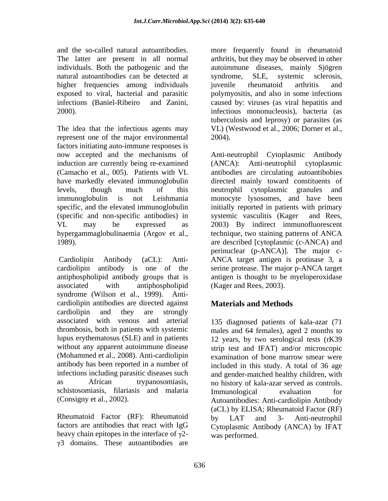individuals. Both the pathogenic and the natural autoantibodies can be detected at syndrome, SLE, systemic sclerosis, higher frequencies among individuals invenile rheumatoid arthritis and exposed to viral, bacterial and parasitic

The idea that the infectious agents may represent one of the major environmental 2004). factors initiating auto-immune responses is induction are currently being re-examined (ANCA): Anti-neutrophil cytoplasmic (Camacho et al., 005). Patients with VL (specific and non-specific antibodies) in VL may be expressed as 2003) By indirect immunofluorescent

associated with antiphospholipid (Kager and Rees, 2003). syndrome (Wilson et al., 1999). Anti cardiolipin antibodies are directed against cardiolipin and they are strongly associated with venous and arterial 135 diagnosed patients of kala-azar (71 thrombosis, both in patients with systemic males and 64 females), aged 2 months to lupus erythematosus (SLE) and in patients 12 years, by two serological tests (rK39 without any apparent autoimmune disease strip test and IFAT) and/or microscopic (Mohammed et al., 2008). Anti-cardiolipin examination of bone marrow smear were antibody has been reported in a number of included in this study. A total of 36 age infections including parasitic diseases such and gender-matched healthy children, with as African trypanosomiasis, no history of kala-azar served as controls. schistosomiasis, filariasis and malaria Immunological evaluation for

Rheumatoid Factor (RF): Rheumatoid by LAT and 3- Anti-neutrophil heavy chain epitopes in the interface of  $\gamma$ 2-3 domains. These autoantibodies are

and the so-called natural autoantibodies. more frequently found in rheumatoid The latter are present in all normal arthritis, but they may be observed in other infections (Baniel-Ribeiro and Zanini, 2000). autoimmune diseases, mainly Sjögren syndrome, SLE, systemic sclerosis, juvenile rheumatoid arthritis and polymyositis, and also in some infections caused by: viruses (as viral hepatitis and infectious mononucleosis), bacteria (as tuberculosis and leprosy) or parasites (as VL) (Westwood et al., 2006; Dorner et al., 2004).

now accepted and the mechanisms of Anti-neutrophil Cytoplasmic Antibody have markedly elevated immunoglobulin directed mainly toward constituents of levels, though much of this meutrophil cytoplasmic granules and immunoglobulin is not Leishmania monocyte lysosomes, and have been specific, and the elevated immunoglobulin initially reported in patients with primary hypergammaglobulinaemia (Argov et al., technique, two staining patterns of ANCA 1989). are described [cytoplasmic (c-ANCA) and Cardiolipin Antibody (aCL): Anti- ANCA target antigen is protinase 3, a cardiolipin antibody is one of the serine protease. The major p-ANCA target antiphospholipid antibody groups that is antigen is thought to be myeloperoxidase (ANCA): Anti-neutrophil cytoplasmic antibodies are circulating autoantibobies neutrophil cytoplasmic granules and systemic vasculitis (Kager and Rees, 2003) By indirect immunofluorescent perinuclear (p-ANCA)]. The major c- (Kager and Rees, 2003).

# **Materials and Methods**

(Consigny et al., 2002). Autoantibodies: Anti-cardiolipin Antibody factors are antibodies that react with IgG Cytoplasmic Antibody (ANCA) by IFAT no history of kala-azar served as controls. Immunological evaluation for (aCL) by ELISA; Rheumatoid Factor (RF) by LAT and 3- Anti-neutrophil was performed.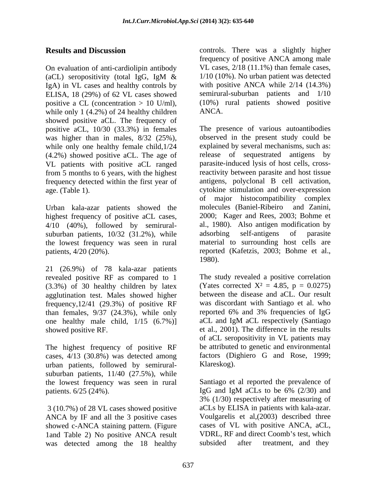On evaluation of anti-cardiolipin antibody<br>
(aCL) seropositivity (total IgG, IgM & 1/10 (10%). No urban patient was detected (aCL) seropositivity (total IgG, IgM  $\&$  1/10 (10%). No urban patient was detected IgA) in VL cases and healthy controls by ELISA, 18 (29%) of 62 VL cases showed positive a CL (concentration  $> 10$  U/ml), (10%) rural patients showed positive while only 1 (4.2%) of 24 healthy children ANCA. showed positive aCL. The frequency of positive aCL, 10/30 (33.3%) in females was higher than in males, 8/32 (25%), while only one healthy female child,1/24 (4.2%) showed positive aCL. The age of VL patients with positive aCL ranged frequency detected within the first year of antigens, polyclonal B cell activation, age. (Table 1). cytokine stimulation and over-expression

Urban kala-azar patients showed the molecules (Baniel-Ribeiro and Zanini, highest frequency of positive aCL cases. 2000; Kager and Rees, 2003; Bohme et suburban patients, 10/32 (31.2%), while adsorbing self-antigens of parasite the lowest frequency was seen in rural

21 (26.9%) of 78 kala-azar patients revealed positive RF as compared to 1 (3.3%) of 30 healthy children by latex agglutination test. Males showed higher frequency,12/41 (29.3%) of positive RF than females,  $9/37$  (24.3%), while only<br>one healthy male child.  $1/15$  (6.7%)] aCL and IgM aCL respectively (Santiago one healthy male child, 1/15 (6.7%)]

cases, 4/13 (30.8%) was detected among urban patients, followed by semirural suburban patients, 11/40 (27.5%), while the lowest frequency was seen in rural patients.  $6/25$  (24%). IgG and IgM aCLs to be  $6\%$  (2/30) and

 3 (10.7%) of 28 VL cases showed positive ANCA by IF and all the 3 positive cases showed c-ANCA staining pattern. (Figure 1and Table 2) No positive ANCA result VDRL, RF and di<br>was detected among the 18 healthy subsided after was detected among the 18 healthy

**Results and Discussion** controls. There was a slightly higher frequency of positive ANCA among male VL cases, 2/18 (11.1%) than female cases, 1/10 (10%). No urban patient was detected with positive ANCA while 2/14 (14.3%) semirural-suburban patients and 1/10 ANCA.

from 5 months to 6 years, with the highest reactivity between parasite and host tissue highest frequency of positive aCL cases,  $2000$ ; Kager and Rees, 2003; Bohme et 4/10 (40%), followed by semirural- al., 1980). Also antigen modification by patients, 4/20 (20%). reported (Kafetzis, 2003; Bohme et al., The presence of various autoantibodies observed in the present study could be explained by several mechanisms, such as: release of sequestrated antigens by parasite-induced lysis of host cells, crossantigens, polyclonal <sup>B</sup> cell activation, cytokine stimulation and over-expression of major histocompatibility complex molecules (Baniel-Ribeiro and Zanini, 2000; Kager and Rees, 2003; Bohme et al., 1980). Also antigen modification by adsorbing self-antigens of parasite material to surrounding host cells are

showed positive RF.<br>
the highest frequency of positive RF be attributed to genetic and environmental<br>
state RF be attributed to genetic and environmental 1980).<br>The study revealed a positive correlation (Yates corrected  $X^2 = 4.85$ ,  $p = 0.0275$ ) between the disease and aCL. Our result was discordant with Santiago et al. who reported 6% and 3% frequencies of IgG aCL and IgM aCL respectively (Santiago et al., 2001). The difference in the results of aCL seropositivity in VL patients may be attributed to genetic and environmental factors (Dighiero G and Rose, 1999; Klareskog).

> Santiago et al reported the prevalence of IgG and IgM aCLs to be 6% (2/30) and 3% (1/30) respectively after measuring of aCLs by ELISA in patients with kala-azar. Voulgarelis et al,(2003) described three cases of VL with positive ANCA, aCL, VDRL, RF and direct Coomb's test, which treatment, and they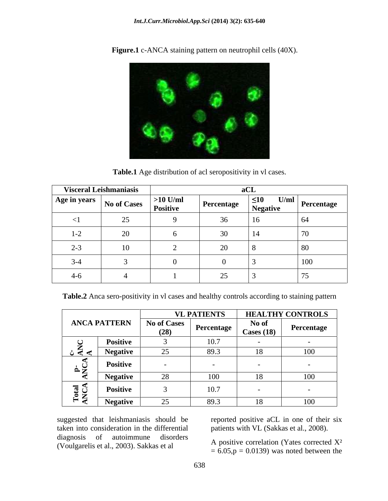

**Figure.1** c-ANCA staining pattern on neutrophil cells (40X).

**Table.1** Age distribution of acl seropositivity in vl cases.

|                                              | <b>Visceral Leishmaniasis</b> | aCL                           |                   |                         |                            |
|----------------------------------------------|-------------------------------|-------------------------------|-------------------|-------------------------|----------------------------|
| Age in years $\vert$ No of Cases $\vert$ 200 |                               | $>10$ U/ml<br><b>Positive</b> | <b>Percentage</b> | ∐ ≥1<br><b>Negative</b> | $\mathbf{U/ml}$ Percentage |
|                                              | $\sim$ $\sim$<br>$-$          |                               |                   |                         | 64                         |
| $1 - \lambda$                                | $\sim$                        |                               |                   |                         |                            |
|                                              | 10                            |                               | $\sim$ $\sim$     |                         |                            |
| -1-4                                         |                               |                               |                   |                         | 100                        |
| $4 - 6$                                      |                               |                               | $\sim$ $-$        |                         | $ -$                       |

**Table.2** Anca sero-positivity in vl cases and healthy controls according to staining pattern

|                                                             |                         |                            | <b>VL PATIENTS</b> |                          | <b>HEALTHY CONTROLS</b> |  |
|-------------------------------------------------------------|-------------------------|----------------------------|--------------------|--------------------------|-------------------------|--|
|                                                             | <b>ANCA PATTERN</b>     | <b>No of Cases</b><br>(28) | Percentage         | No of<br>Cases (18)      | Percentage              |  |
|                                                             | <b>Positive</b>         |                            | 10.1               |                          |                         |  |
| $\underline{\circ}$ $\underline{\circ}$ $\underline{\circ}$ | <b>Negative</b>         | $\Delta$                   | 89.3               |                          | 100                     |  |
| ◡<br>$\mathbf{z}$                                           | Positive                |                            |                    | $\sim$                   |                         |  |
|                                                             | $ -$<br><b>Negative</b> | $\bigcap$<br>$\angle$      | 100                |                          | 100                     |  |
| <u>ន</u> ី $\mathbb S$<br>$\bullet$ $\bar{z}$               | <b>Positive</b>         |                            | 10.7               | $\overline{\phantom{0}}$ |                         |  |
| $\epsilon$ $\sim$                                           | <b>Negative</b>         | $\Delta$                   | 89.3               |                          | 100                     |  |

suggested that leishmaniasis should be reported positive aCL in one of their six taken into consideration in the differential diagnosis of autoimmune disorders (Voulgarelis et al., 2003). Sakkas et al

patients with VL (Sakkas et al., 2008).

A positive correlation (Yates corrected X²  $= 6.05$ ,  $p = 0.0139$ ) was noted between the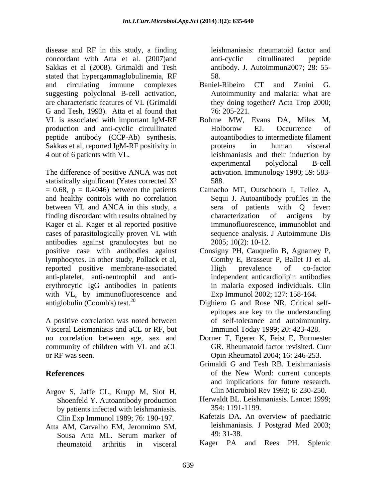disease and RF in this study, a finding concordant with Atta et al. (2007)and Sakkas et al (2008). Grimaldi and Tesh stated that hypergammaglobulinemia, RF 58. and circulating immune complexes Baniel-Ribeiro CT and Zanini G. suggesting polyclonal B-cell activation, are characteristic features of VL (Grimaldi they doing together? Acta Trop 2000; G and Tesh, 1993). Atta et al found that VL is associated with important IgM-RF production and anti-cyclic circullinated peptide antibody (CCP-Ab) synthesis. Sakkas et al, reported IgM-RF positivity in the proteins in human visceral

The difference of positive ANCA was not statistically significant (Yates corrected  $X^2$  588. = 0.68, p = 0.4046) between the patients Camacho MT, Outschoorn I, Tellez A, and healthy controls with no correlation between VL and ANCA in this study, a finding discordant with results obtained by characterization of antigens by Kager et al. Kager et al reported positive cases of parasitologically proven VL with antibodies against granulocytes but no positive case with antibodies against Consigny PH, Cauquelin B, Agnamey P, lymphocytes. In other study, Pollack et al, reported positive membrane-associated anti-platelet, anti-neutrophil and anti erythrocytic IgG antibodies in patients with VL, by immunofluorescence and antiglobulin (Coomb's) test.<sup>20</sup> Dighiero G and Rose NR. Critical self-

A positive correlation was noted between Visceral Leismaniasis and aCL or RF, but no correlation between age, sex and Dorner T, Egerer K, Feist E, Burmester community of children with VL and aCL or RF was seen. Opin Rheumatol 2004; 16: 246-253.

- Argov S, Jaffe CL, Krupp M, Slot H, Clin Microbiol Rev 1993; 6: 230-250.<br>Shoenfeld Y. Autoantibody production Herwaldt BL. Leishmaniasis. Lancet 1999; by patients infected with leishmaniasis. Clin Exp Immunol 1989; 76: 190-197.
- Atta AM, Carvalho EM, Jeronnimo SM, leishmaniasis. J Postgrad Med 2003;<br>Sousa Atta ML. Serum marker of 49:31-38. rheumatoid arthritis in visceral Kager PA and Rees PH. Splenic

leishmaniasis: rheumatoid factor and anti-cyclic citrullinated peptide antibody. J. Autoimmun2007; 28: 55- 58.

- Baniel-Ribeiro CT and Zanini G. Autoimmunity and malaria: what are 76: 205-221.
- 4 out of 6 patients with VL. leishmaniasis and their induction by Bohme MW, Evans DA, Miles Holborow EJ. Occurrence of autoantibodies to intermediate filament proteins in human visceral experimental polyclonal B-cell activation. Immunology 1980; 59: 583- 588.
	- Sequi J. Autoantibody profiles in the sera of patients with Q fever: characterization of antigens by immunofluorescence, immunoblot and sequence analysis. J Autoimmune Dis 2005; 10(2): 10-12.
	- Comby E, Brasseur P, Ballet JJ et al. High prevalence of co-factor independent anticardiolipin antibodies in malaria exposed individuals. Clin Exp Immunol 2002; 127: 158-164.
	- epitopes are key to the understanding of self-tolerance and autoimmunity. Immunol Today 1999; 20: 423-428.
	- GR. Rheumatoid factor revisited. Curr
- **References** of the New Word: current concepts Grimaldi G and Tesh RB. Leishmaniasis and implications for future research. Clin Microbiol Rev 1993; 6: 230-250.
	- Herwaldt BL. Leishmaniasis. Lancet 1999; 354: 1191-1199.
	- Kafetzis DA. An overview of paediatric leishmaniasis. J Postgrad Med 2003; 49: 31-38.
	-